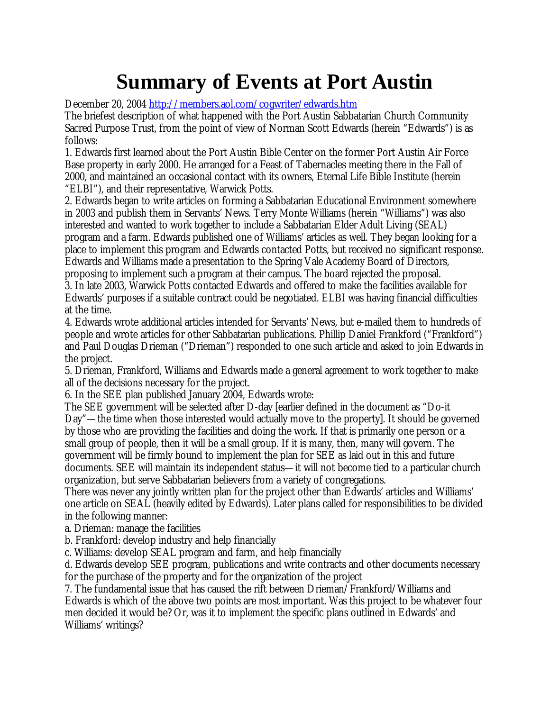## **Summary of Events at Port Austin**

December 20, 2004 http://members.aol.com/cogwriter/edwards.htm

The briefest description of what happened with the Port Austin Sabbatarian Church Community Sacred Purpose Trust, from the point of view of Norman Scott Edwards (herein "Edwards") is as follows:

1. Edwards first learned about the Port Austin Bible Center on the former Port Austin Air Force Base property in early 2000. He arranged for a Feast of Tabernacles meeting there in the Fall of 2000, and maintained an occasional contact with its owners, Eternal Life Bible Institute (herein "ELBI"), and their representative, Warwick Potts.

2. Edwards began to write articles on forming a Sabbatarian Educational Environment somewhere in 2003 and publish them in Servants' News. Terry Monte Williams (herein "Williams") was also interested and wanted to work together to include a Sabbatarian Elder Adult Living (SEAL) program and a farm. Edwards published one of Williams' articles as well. They began looking for a place to implement this program and Edwards contacted Potts, but received no significant response. Edwards and Williams made a presentation to the Spring Vale Academy Board of Directors, proposing to implement such a program at their campus. The board rejected the proposal.

3. In late 2003, Warwick Potts contacted Edwards and offered to make the facilities available for Edwards' purposes if a suitable contract could be negotiated. ELBI was having financial difficulties at the time.

4. Edwards wrote additional articles intended for Servants' News, but e-mailed them to hundreds of people and wrote articles for other Sabbatarian publications. Phillip Daniel Frankford ("Frankford") and Paul Douglas Drieman ("Drieman") responded to one such article and asked to join Edwards in the project.

5. Drieman, Frankford, Williams and Edwards made a general agreement to work together to make all of the decisions necessary for the project.

6. In the SEE plan published January 2004, Edwards wrote:

The SEE government will be selected after D-day [earlier defined in the document as "Do-it Day"— the time when those interested would actually move to the property]. It should be governed by those who are providing the facilities and doing the work. If that is primarily one person or a small group of people, then it will be a small group. If it is many, then, many will govern. The government will be firmly bound to implement the plan for SEE as laid out in this and future documents. SEE will maintain its independent status— it will not become tied to a particular church organization, but serve Sabbatarian believers from a variety of congregations.

There was never any jointly written plan for the project other than Edwards' articles and Williams' one article on SEAL (heavily edited by Edwards). Later plans called for responsibilities to be divided in the following manner:

a. Drieman: manage the facilities

b. Frankford: develop industry and help financially

c. Williams: develop SEAL program and farm, and help financially

d. Edwards develop SEE program, publications and write contracts and other documents necessary for the purchase of the property and for the organization of the project

7. The fundamental issue that has caused the rift between Drieman/Frankford/Williams and Edwards is which of the above two points are most important. Was this project to be whatever four men decided it would be? Or, was it to implement the specific plans outlined in Edwards' and Williams' writings?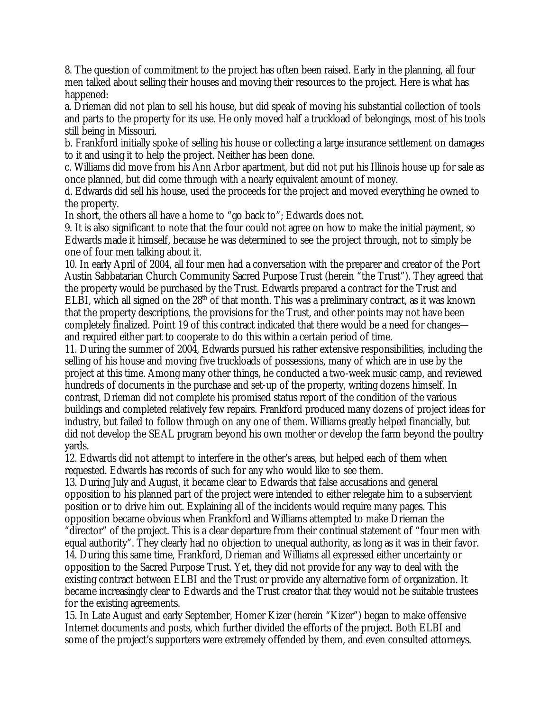8. The question of commitment to the project has often been raised. Early in the planning, all four men talked about selling their houses and moving their resources to the project. Here is what has happened:

a. Drieman did not plan to sell his house, but did speak of moving his substantial collection of tools and parts to the property for its use. He only moved half a truckload of belongings, most of his tools still being in Missouri.

b. Frankford initially spoke of selling his house or collecting a large insurance settlement on damages to it and using it to help the project. Neither has been done.

c. Williams did move from his Ann Arbor apartment, but did not put his Illinois house up for sale as once planned, but did come through with a nearly equivalent amount of money.

d. Edwards did sell his house, used the proceeds for the project and moved everything he owned to the property.

In short, the others all have a home to "go back to"; Edwards does not.

9. It is also significant to note that the four could not agree on how to make the initial payment, so Edwards made it himself, because he was determined to see the project through, not to simply be one of four men talking about it.

10. In early April of 2004, all four men had a conversation with the preparer and creator of the Port Austin Sabbatarian Church Community Sacred Purpose Trust (herein "the Trust"). They agreed that the property would be purchased by the Trust. Edwards prepared a contract for the Trust and ELBI, which all signed on the  $28<sup>th</sup>$  of that month. This was a preliminary contract, as it was known that the property descriptions, the provisions for the Trust, and other points may not have been completely finalized. Point 19 of this contract indicated that there would be a need for changes and required either part to cooperate to do this within a certain period of time.

11. During the summer of 2004, Edwards pursued his rather extensive responsibilities, including the selling of his house and moving five truckloads of possessions, many of which are in use by the project at this time. Among many other things, he conducted a two-week music camp, and reviewed hundreds of documents in the purchase and set-up of the property, writing dozens himself. In contrast, Drieman did not complete his promised status report of the condition of the various buildings and completed relatively few repairs. Frankford produced many dozens of project ideas for industry, but failed to follow through on any one of them. Williams greatly helped financially, but did not develop the SEAL program beyond his own mother or develop the farm beyond the poultry yards.

12. Edwards did not attempt to interfere in the other's areas, but helped each of them when requested. Edwards has records of such for any who would like to see them.

13. During July and August, it became clear to Edwards that false accusations and general opposition to his planned part of the project were intended to either relegate him to a subservient position or to drive him out. Explaining all of the incidents would require many pages. This opposition became obvious when Frankford and Williams attempted to make Drieman the "director" of the project. This is a clear departure from their continual statement of "four men with equal authority". They clearly had no objection to unequal authority, as long as it was in their favor. 14. During this same time, Frankford, Drieman and Williams all expressed either uncertainty or opposition to the Sacred Purpose Trust. Yet, they did not provide for any way to deal with the existing contract between ELBI and the Trust or provide any alternative form of organization. It became increasingly clear to Edwards and the Trust creator that they would not be suitable trustees for the existing agreements.

15. In Late August and early September, Homer Kizer (herein "Kizer") began to make offensive Internet documents and posts, which further divided the efforts of the project. Both ELBI and some of the project's supporters were extremely offended by them, and even consulted attorneys.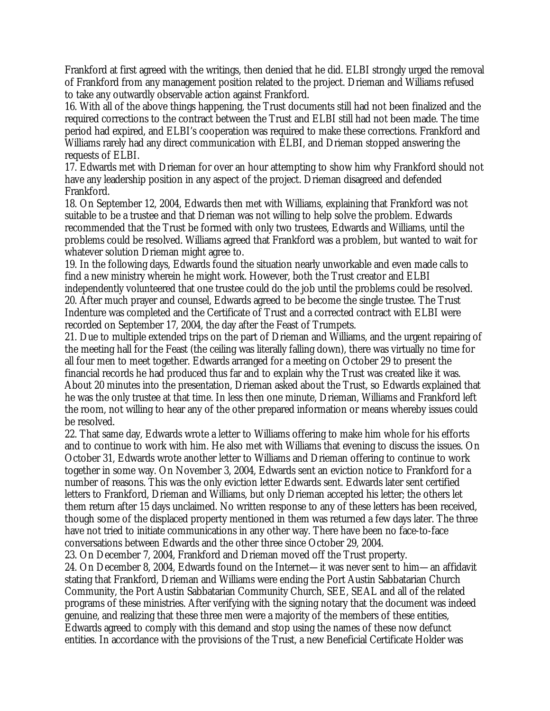Frankford at first agreed with the writings, then denied that he did. ELBI strongly urged the removal of Frankford from any management position related to the project. Drieman and Williams refused to take any outwardly observable action against Frankford.

16. With all of the above things happening, the Trust documents still had not been finalized and the required corrections to the contract between the Trust and ELBI still had not been made. The time period had expired, and ELBI's cooperation was required to make these corrections. Frankford and Williams rarely had any direct communication with ELBI, and Drieman stopped answering the requests of ELBI.

17. Edwards met with Drieman for over an hour attempting to show him why Frankford should not have any leadership position in any aspect of the project. Drieman disagreed and defended Frankford.

18. On September 12, 2004, Edwards then met with Williams, explaining that Frankford was not suitable to be a trustee and that Drieman was not willing to help solve the problem. Edwards recommended that the Trust be formed with only two trustees, Edwards and Williams, until the problems could be resolved. Williams agreed that Frankford was a problem, but wanted to wait for whatever solution Drieman might agree to.

19. In the following days, Edwards found the situation nearly unworkable and even made calls to find a new ministry wherein he might work. However, both the Trust creator and ELBI independently volunteered that one trustee could do the job until the problems could be resolved. 20. After much prayer and counsel, Edwards agreed to be become the single trustee. The Trust Indenture was completed and the Certificate of Trust and a corrected contract with ELBI were recorded on September 17, 2004, the day after the Feast of Trumpets.

21. Due to multiple extended trips on the part of Drieman and Williams, and the urgent repairing of the meeting hall for the Feast (the ceiling was literally falling down), there was virtually no time for all four men to meet together. Edwards arranged for a meeting on October 29 to present the financial records he had produced thus far and to explain why the Trust was created like it was. About 20 minutes into the presentation, Drieman asked about the Trust, so Edwards explained that he was the only trustee at that time. In less then one minute, Drieman, Williams and Frankford left the room, not willing to hear any of the other prepared information or means whereby issues could be resolved.

22. That same day, Edwards wrote a letter to Williams offering to make him whole for his efforts and to continue to work with him. He also met with Williams that evening to discuss the issues. On October 31, Edwards wrote another letter to Williams and Drieman offering to continue to work together in some way. On November 3, 2004, Edwards sent an eviction notice to Frankford for a number of reasons. This was the only eviction letter Edwards sent. Edwards later sent certified letters to Frankford, Drieman and Williams, but only Drieman accepted his letter; the others let them return after 15 days unclaimed. No written response to any of these letters has been received, though some of the displaced property mentioned in them was returned a few days later. The three have not tried to initiate communications in any other way. There have been no face-to-face conversations between Edwards and the other three since October 29, 2004.

23. On December 7, 2004, Frankford and Drieman moved off the Trust property.

24. On December 8, 2004, Edwards found on the Internet— it was never sent to him— an affidavit stating that Frankford, Drieman and Williams were ending the Port Austin Sabbatarian Church Community, the Port Austin Sabbatarian Community Church, SEE, SEAL and all of the related programs of these ministries. After verifying with the signing notary that the document was indeed genuine, and realizing that these three men were a majority of the members of these entities, Edwards agreed to comply with this demand and stop using the names of these now defunct entities. In accordance with the provisions of the Trust, a new Beneficial Certificate Holder was